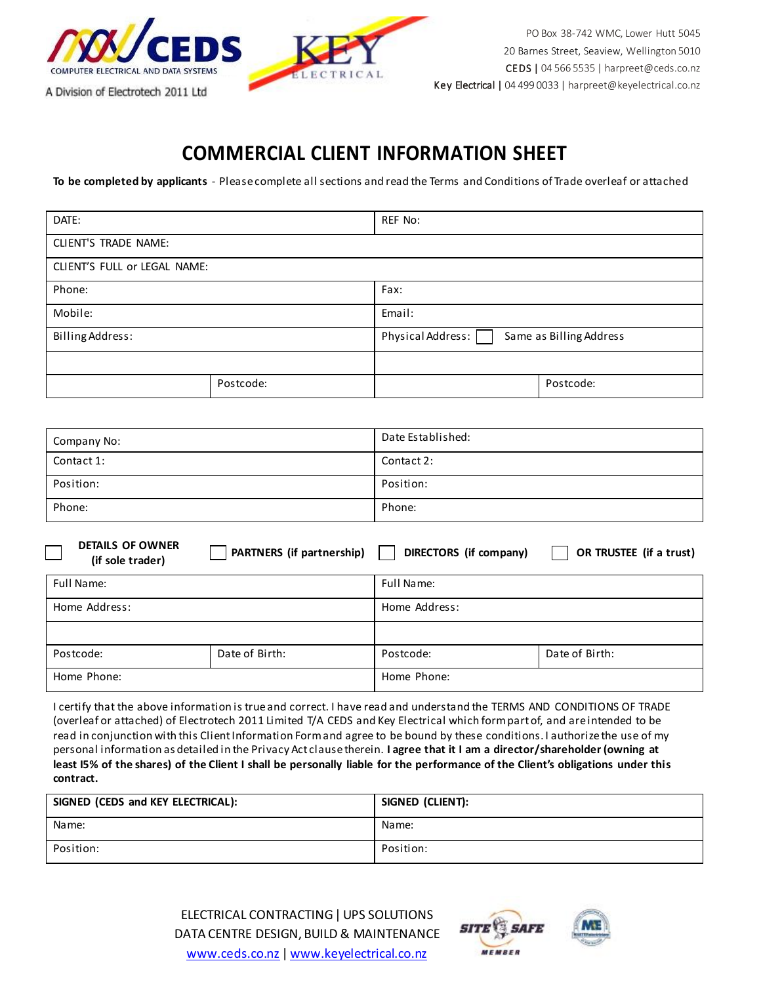

## **COMMERCIAL CLIENT INFORMATION SHEET**

**To be completed by applicants** - Please complete all sections and read the Terms and Conditions of Trade overleaf or attached

| DATE:                        |           | REF No:                                      |           |
|------------------------------|-----------|----------------------------------------------|-----------|
| CLIENT'S TRADE NAME:         |           |                                              |           |
| CLIENT'S FULL or LEGAL NAME: |           |                                              |           |
| Phone:                       |           | Fax:                                         |           |
| Mobile:                      |           | Email:                                       |           |
| Billing Address:             |           | Physical Address:<br>Same as Billing Address |           |
|                              |           |                                              |           |
|                              | Postcode: |                                              | Postcode: |

| Company No: | Date Established: |
|-------------|-------------------|
| Contact 1:  | Contact 2:        |
| Position:   | Position:         |
| Phone:      | Phone:            |

| <b>DETAILS OF OWNER</b><br>(if sole trader) | PARTNERS (if partnership) | DIRECTORS (if company) | OR TRUSTEE (if a trust) |
|---------------------------------------------|---------------------------|------------------------|-------------------------|
| Full Name:                                  |                           | Full Name:             |                         |
| Home Address:                               |                           | Home Address:          |                         |
|                                             |                           |                        |                         |
| Postcode:                                   | Date of Birth:            | Postcode:              | Date of Birth:          |
| Home Phone:                                 |                           | Home Phone:            |                         |

I certify that the above information is true and correct. I have read and understand the TERMS AND CONDITIONS OF TRADE (overleaf or attached) of Electrotech 2011 Limited T/A CEDS and Key Electrical which form part of, and are intended to be read in conjunction with this Client Information Form and agree to be bound by these conditions. I authorize the use of my personal information as detailed in the Privacy Act clause therein. **I agree that it I am a director/shareholder (owning at least I5% of the shares) of the Client I shall be personally liable for the performance of the Client's obligations under this contract.**

| SIGNED (CEDS and KEY ELECTRICAL): | SIGNED (CLIENT): |
|-----------------------------------|------------------|
| Name:                             | Name:            |
| Position:                         | Position:        |